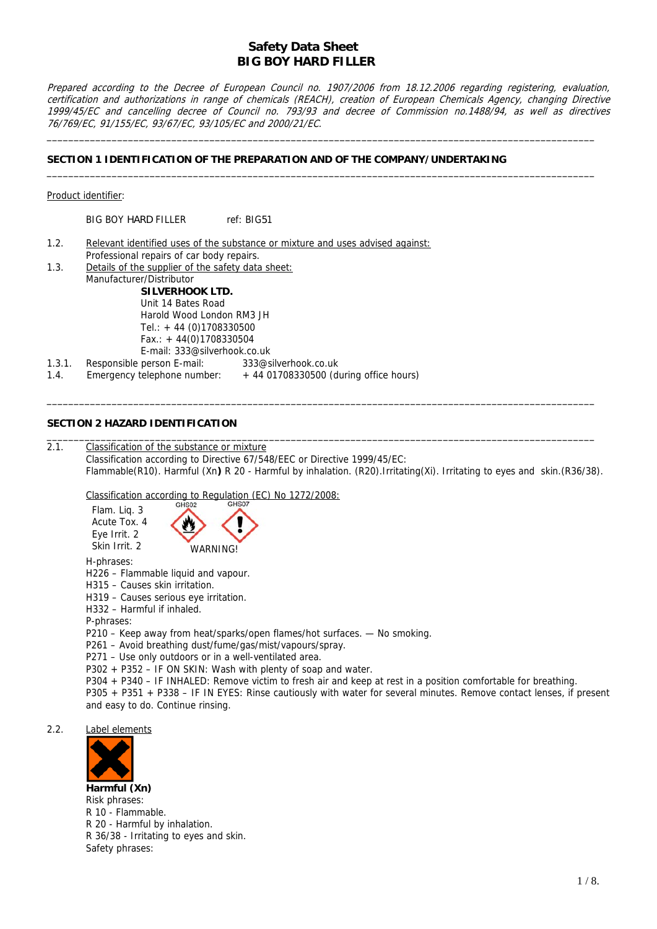Prepared according to the Decree of European Council no. 1907/2006 from 18.12.2006 regarding registering, evaluation, certification and authorizations in range of chemicals (REACH), creation of European Chemicals Agency, changing Directive 1999/45/EC and cancelling decree of Council no. 793/93 and decree of Commission no.1488/94, as well as directives 76/769/EC, 91/155/EC, 93/67/EC, 93/105/EC and 2000/21/EC.

\_\_\_\_\_\_\_\_\_\_\_\_\_\_\_\_\_\_\_\_\_\_\_\_\_\_\_\_\_\_\_\_\_\_\_\_\_\_\_\_\_\_\_\_\_\_\_\_\_\_\_\_\_\_\_\_\_\_\_\_\_\_\_\_\_\_\_\_\_\_\_\_\_\_\_\_\_\_\_\_\_\_\_\_\_\_\_\_\_\_\_\_\_\_\_\_\_\_\_\_\_

\_\_\_\_\_\_\_\_\_\_\_\_\_\_\_\_\_\_\_\_\_\_\_\_\_\_\_\_\_\_\_\_\_\_\_\_\_\_\_\_\_\_\_\_\_\_\_\_\_\_\_\_\_\_\_\_\_\_\_\_\_\_\_\_\_\_\_\_\_\_\_\_\_\_\_\_\_\_\_\_\_\_\_\_\_\_\_\_\_\_\_\_\_\_\_\_\_\_\_\_\_

### **SECTION 1 IDENTIFICATION OF THE PREPARATION AND OF THE COMPANY/UNDERTAKING**

| Product identifier: |
|---------------------|
|                     |

BIG BOY HARD FILLER ref: BIG51

- 1.2. Relevant identified uses of the substance or mixture and uses advised against: Professional repairs of car body repairs.
- 1.3. Details of the supplier of the safety data sheet: Manufacturer/Distributor **SILVERHOOK LTD.** Unit 14 Bates Road Harold Wood London RM3 JH Tel.: + 44 (0)1708330500  $Fax.: + 44(0)1708330504$ E-mail: 333@silverhook.co.uk 1.3.1. Responsible person E-mail: 333@silverhook.co.uk 1.4. Emergency telephone number:  $+4401708330500$  (during office hours)

### **SECTION 2 HAZARD IDENTIFICATION**

2.1.Classification of the substance or mixture Classification according to Directive 67/548/EEC or Directive 1999/45/EC: Flammable(R10). Harmful (Xn**)** R 20 - Harmful by inhalation. (R20).Irritating(Xi). Irritating to eyes and skin.(R36/38).

\_\_\_\_\_\_\_\_\_\_\_\_\_\_\_\_\_\_\_\_\_\_\_\_\_\_\_\_\_\_\_\_\_\_\_\_\_\_\_\_\_\_\_\_\_\_\_\_\_\_\_\_\_\_\_\_\_\_\_\_\_\_\_\_\_\_\_\_\_\_\_\_\_\_\_\_\_\_\_\_\_\_\_\_\_\_\_\_\_\_\_\_\_\_\_\_\_\_\_\_\_

\_\_\_\_\_\_\_\_\_\_\_\_\_\_\_\_\_\_\_\_\_\_\_\_\_\_\_\_\_\_\_\_\_\_\_\_\_\_\_\_\_\_\_\_\_\_\_\_\_\_\_\_\_\_\_\_\_\_\_\_\_\_\_\_\_\_\_\_\_\_\_\_\_\_\_\_\_\_\_\_\_\_\_\_\_\_\_\_\_\_\_\_\_\_\_\_\_\_\_\_\_

Classification according to Regulation (EC) No 1272/2008:



H-phrases:

H226 – Flammable liquid and vapour.

- H315 Causes skin irritation.
- H319 Causes serious eye irritation.
- H332 Harmful if inhaled.
- P-phrases:

P210 – Keep away from heat/sparks/open flames/hot surfaces. - No smoking.

P261 – Avoid breathing dust/fume/gas/mist/vapours/spray.

P271 – Use only outdoors or in a well-ventilated area.

P302 + P352 – IF ON SKIN: Wash with plenty of soap and water.

P304 + P340 – IF INHALED: Remove victim to fresh air and keep at rest in a position comfortable for breathing.

P305 + P351 + P338 – IF IN EYES: Rinse cautiously with water for several minutes. Remove contact lenses, if present and easy to do. Continue rinsing.

2.2. Label elements



**Harmful (Xn)**  Risk phrases: R 10 - Flammable. R 20 - Harmful by inhalation. R 36/38 - Irritating to eyes and skin. Safety phrases: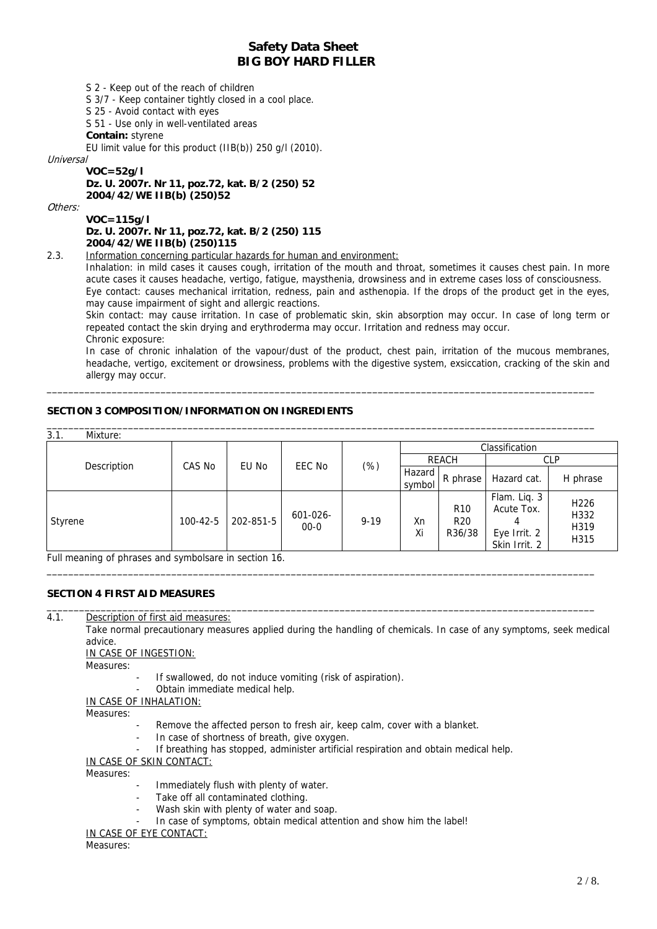S 2 - Keep out of the reach of children

S 3/7 - Keep container tightly closed in a cool place.

S 25 - Avoid contact with eyes

S 51 - Use only in well-ventilated areas

**Contain:** styrene

EU limit value for this product (IIB(b)) 250 g/l (2010).

Universal

**VOC=52g/l Dz. U. 2007r. Nr 11, poz.72, kat. B/2 (250) 52 2004/42/WE IIB(b) (250)52** 

Others:

**VOC=115g/l Dz. U. 2007r. Nr 11, poz.72, kat. B/2 (250) 115 2004/42/WE IIB(b) (250)115** 

2.3. Information concerning particular hazards for human and environment:

Inhalation: in mild cases it causes cough, irritation of the mouth and throat, sometimes it causes chest pain. In more acute cases it causes headache, vertigo, fatigue, maysthenia, drowsiness and in extreme cases loss of consciousness. Eye contact: causes mechanical irritation, redness, pain and asthenopia. If the drops of the product get in the eyes, may cause impairment of sight and allergic reactions.

Skin contact: may cause irritation. In case of problematic skin, skin absorption may occur. In case of long term or repeated contact the skin drying and erythroderma may occur. Irritation and redness may occur.

Chronic exposure:

In case of chronic inhalation of the vapour/dust of the product, chest pain, irritation of the mucous membranes, headache, vertigo, excitement or drowsiness, problems with the digestive system, exsiccation, cracking of the skin and allergy may occur.

## **SECTION 3 COMPOSITION/INFORMATION ON INGREDIENTS**

| 3.1.    | Mixture:    |                |           |                      |          |                  |                                    |                                                                  |                                          |
|---------|-------------|----------------|-----------|----------------------|----------|------------------|------------------------------------|------------------------------------------------------------------|------------------------------------------|
|         |             |                |           |                      |          |                  |                                    | Classification                                                   |                                          |
|         | Description | CAS No         | EU No     | EEC No               |          |                  | <b>REACH</b>                       | <b>CLP</b>                                                       |                                          |
|         |             |                |           |                      | $(\%)$   | Hazard<br>symbol | R phrase                           | Hazard cat.                                                      | H phrase                                 |
| Styrene |             | $100 - 42 - 5$ | 202-851-5 | 601-026-<br>$00 - 0$ | $9 - 19$ | Xn<br>Xi         | <b>R10</b><br><b>R20</b><br>R36/38 | Flam. Liq. 3<br>Acute Tox.<br>4<br>Eye Irrit. 2<br>Skin Irrit. 2 | H <sub>226</sub><br>H332<br>H319<br>H315 |

\_\_\_\_\_\_\_\_\_\_\_\_\_\_\_\_\_\_\_\_\_\_\_\_\_\_\_\_\_\_\_\_\_\_\_\_\_\_\_\_\_\_\_\_\_\_\_\_\_\_\_\_\_\_\_\_\_\_\_\_\_\_\_\_\_\_\_\_\_\_\_\_\_\_\_\_\_\_\_\_\_\_\_\_\_\_\_\_\_\_\_\_\_\_\_\_\_\_\_\_\_

\_\_\_\_\_\_\_\_\_\_\_\_\_\_\_\_\_\_\_\_\_\_\_\_\_\_\_\_\_\_\_\_\_\_\_\_\_\_\_\_\_\_\_\_\_\_\_\_\_\_\_\_\_\_\_\_\_\_\_\_\_\_\_\_\_\_\_\_\_\_\_\_\_\_\_\_\_\_\_\_\_\_\_\_\_\_\_\_\_\_\_\_\_\_\_\_\_\_\_\_\_

Full meaning of phrases and symbolsare in section 16.

## **SECTION 4 FIRST AID MEASURES**

\_\_\_\_\_\_\_\_\_\_\_\_\_\_\_\_\_\_\_\_\_\_\_\_\_\_\_\_\_\_\_\_\_\_\_\_\_\_\_\_\_\_\_\_\_\_\_\_\_\_\_\_\_\_\_\_\_\_\_\_\_\_\_\_\_\_\_\_\_\_\_\_\_\_\_\_\_\_\_\_\_\_\_\_\_\_\_\_\_\_\_\_\_\_\_\_\_\_\_\_\_ 4.1. Description of first aid measures:

 Take normal precautionary measures applied during the handling of chemicals. In case of any symptoms, seek medical advice.

IN CASE OF INGESTION:

Measures:

- If swallowed, do not induce vomiting (risk of aspiration).
- Obtain immediate medical help.

IN CASE OF INHALATION:

Measures:

- Remove the affected person to fresh air, keep calm, cover with a blanket.
- In case of shortness of breath, give oxygen.
- If breathing has stopped, administer artificial respiration and obtain medical help.

IN CASE OF SKIN CONTACT:

Measures:

- Immediately flush with plenty of water.
- Take off all contaminated clothing.
- Wash skin with plenty of water and soap.
- In case of symptoms, obtain medical attention and show him the label!

IN CASE OF EYE CONTACT:

Measures: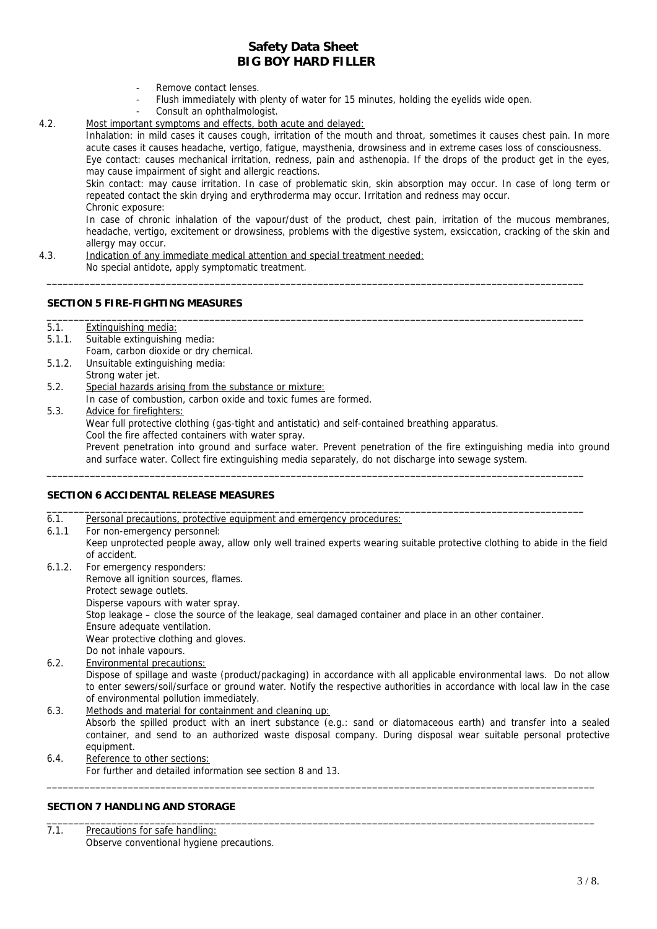- Remove contact lenses.
- Flush immediately with plenty of water for 15 minutes, holding the eyelids wide open.
- Consult an ophthalmologist.

#### 4.2. Most important symptoms and effects, both acute and delayed:

Inhalation: in mild cases it causes cough, irritation of the mouth and throat, sometimes it causes chest pain. In more acute cases it causes headache, vertigo, fatigue, maysthenia, drowsiness and in extreme cases loss of consciousness. Eye contact: causes mechanical irritation, redness, pain and asthenopia. If the drops of the product get in the eyes, may cause impairment of sight and allergic reactions.

Skin contact: may cause irritation. In case of problematic skin, skin absorption may occur. In case of long term or repeated contact the skin drying and erythroderma may occur. Irritation and redness may occur. Chronic exposure:

In case of chronic inhalation of the vapour/dust of the product, chest pain, irritation of the mucous membranes, headache, vertigo, excitement or drowsiness, problems with the digestive system, exsiccation, cracking of the skin and allergy may occur.

\_\_\_\_\_\_\_\_\_\_\_\_\_\_\_\_\_\_\_\_\_\_\_\_\_\_\_\_\_\_\_\_\_\_\_\_\_\_\_\_\_\_\_\_\_\_\_\_\_\_\_\_\_\_\_\_\_\_\_\_\_\_\_\_\_\_\_\_\_\_\_\_\_\_\_\_\_\_\_\_\_\_\_\_\_\_\_\_\_\_\_\_\_\_\_\_\_\_\_

\_\_\_\_\_\_\_\_\_\_\_\_\_\_\_\_\_\_\_\_\_\_\_\_\_\_\_\_\_\_\_\_\_\_\_\_\_\_\_\_\_\_\_\_\_\_\_\_\_\_\_\_\_\_\_\_\_\_\_\_\_\_\_\_\_\_\_\_\_\_\_\_\_\_\_\_\_\_\_\_\_\_\_\_\_\_\_\_\_\_\_\_\_\_\_\_\_\_\_

4.3. Indication of any immediate medical attention and special treatment needed: No special antidote, apply symptomatic treatment.

#### **SECTION 5 FIRE-FIGHTING MEASURES**

| 5.1. | Extinguishing media: |  |
|------|----------------------|--|
|      |                      |  |

- 5.1.1. Suitable extinguishing media: Foam, carbon dioxide or dry chemical.
- 5.1.2. Unsuitable extinguishing media: Strong water jet.
- 5.2. Special hazards arising from the substance or mixture:
	- In case of combustion, carbon oxide and toxic fumes are formed.
- 5.3. Advice for firefighters:

Wear full protective clothing (gas-tight and antistatic) and self-contained breathing apparatus.

Cool the fire affected containers with water spray.

Prevent penetration into ground and surface water. Prevent penetration of the fire extinguishing media into ground and surface water. Collect fire extinguishing media separately, do not discharge into sewage system.

### **SECTION 6 ACCIDENTAL RELEASE MEASURES**

6.1. Personal precautions, protective equipment and emergency procedures: 6.1.1 For non-emergency personnel: Keep unprotected people away, allow only well trained experts wearing suitable protective clothing to abide in the field of accident.

\_\_\_\_\_\_\_\_\_\_\_\_\_\_\_\_\_\_\_\_\_\_\_\_\_\_\_\_\_\_\_\_\_\_\_\_\_\_\_\_\_\_\_\_\_\_\_\_\_\_\_\_\_\_\_\_\_\_\_\_\_\_\_\_\_\_\_\_\_\_\_\_\_\_\_\_\_\_\_\_\_\_\_\_\_\_\_\_\_\_\_\_\_\_\_\_\_\_\_

\_\_\_\_\_\_\_\_\_\_\_\_\_\_\_\_\_\_\_\_\_\_\_\_\_\_\_\_\_\_\_\_\_\_\_\_\_\_\_\_\_\_\_\_\_\_\_\_\_\_\_\_\_\_\_\_\_\_\_\_\_\_\_\_\_\_\_\_\_\_\_\_\_\_\_\_\_\_\_\_\_\_\_\_\_\_\_\_\_\_\_\_\_\_\_\_\_\_\_

- 6.1.2. For emergency responders: Remove all ignition sources, flames. Protect sewage outlets. Disperse vapours with water spray. Stop leakage – close the source of the leakage, seal damaged container and place in an other container. Ensure adequate ventilation. Wear protective clothing and gloves. Do not inhale vapours.
- Dispose of spillage and waste (product/packaging) in accordance with all applicable environmental laws. Do not allow to enter sewers/soil/surface or ground water. Notify the respective authorities in accordance with local law in the case of environmental pollution immediately. 6.2. Environmental precautions:
- 6.3. Methods and material for containment and cleaning up: Absorb the spilled product with an inert substance (e.g.: sand or diatomaceous earth) and transfer into a sealed container, and send to an authorized waste disposal company. During disposal wear suitable personal protective equipment.

\_\_\_\_\_\_\_\_\_\_\_\_\_\_\_\_\_\_\_\_\_\_\_\_\_\_\_\_\_\_\_\_\_\_\_\_\_\_\_\_\_\_\_\_\_\_\_\_\_\_\_\_\_\_\_\_\_\_\_\_\_\_\_\_\_\_\_\_\_\_\_\_\_\_\_\_\_\_\_\_\_\_\_\_\_\_\_\_\_\_\_\_\_\_\_\_\_\_\_\_\_

6.4. Reference to other sections: For further and detailed information see section 8 and 13.

## **SECTION 7 HANDLING AND STORAGE**

\_\_\_\_\_\_\_\_\_\_\_\_\_\_\_\_\_\_\_\_\_\_\_\_\_\_\_\_\_\_\_\_\_\_\_\_\_\_\_\_\_\_\_\_\_\_\_\_\_\_\_\_\_\_\_\_\_\_\_\_\_\_\_\_\_\_\_\_\_\_\_\_\_\_\_\_\_\_\_\_\_\_\_\_\_\_\_\_\_\_\_\_\_\_\_\_\_\_\_\_\_ 7.1. Precautions for safe handling: Observe conventional hygiene precautions.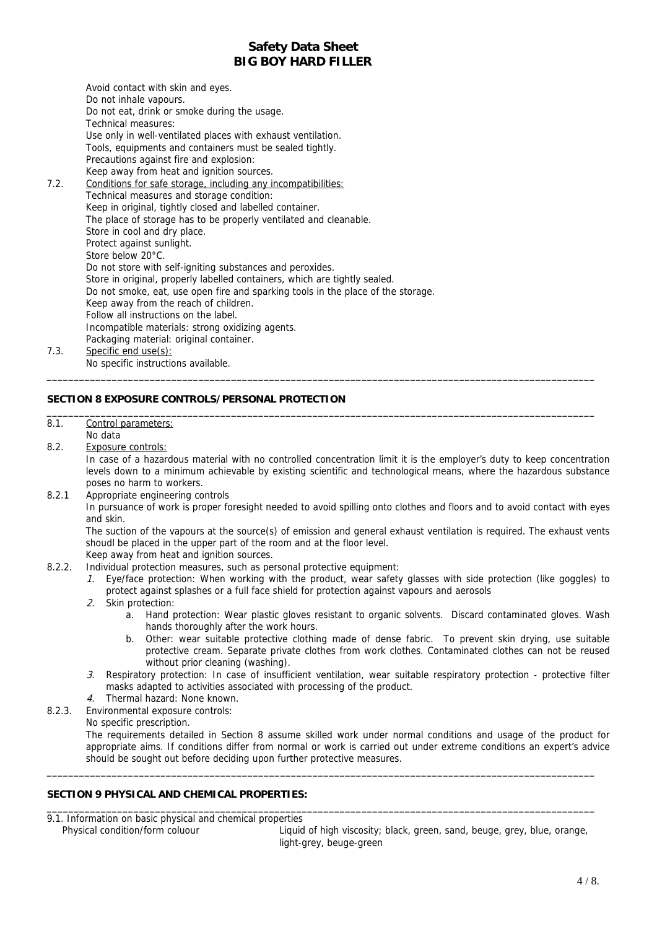Avoid contact with skin and eyes. Do not inhale vapours. Do not eat, drink or smoke during the usage. Technical measures: Use only in well-ventilated places with exhaust ventilation. Tools, equipments and containers must be sealed tightly. Precautions against fire and explosion: Keep away from heat and ignition sources. 7.2. Conditions for safe storage, including any incompatibilities: Technical measures and storage condition: Keep in original, tightly closed and labelled container. The place of storage has to be properly ventilated and cleanable. Store in cool and dry place. Protect against sunlight. Store below 20°C. Do not store with self-igniting substances and peroxides. Store in original, properly labelled containers, which are tightly sealed. Do not smoke, eat, use open fire and sparking tools in the place of the storage. Keep away from the reach of children. Follow all instructions on the label. Incompatible materials: strong oxidizing agents. Packaging material: original container. 7.3. Specific end use(s): No specific instructions available.

## **SECTION 8 EXPOSURE CONTROLS/PERSONAL PROTECTION**

## 8.1. Control parameters:

- No data
- 8.2. Exposure controls:

In case of a hazardous material with no controlled concentration limit it is the employer's duty to keep concentration levels down to a minimum achievable by existing scientific and technological means, where the hazardous substance poses no harm to workers.

\_\_\_\_\_\_\_\_\_\_\_\_\_\_\_\_\_\_\_\_\_\_\_\_\_\_\_\_\_\_\_\_\_\_\_\_\_\_\_\_\_\_\_\_\_\_\_\_\_\_\_\_\_\_\_\_\_\_\_\_\_\_\_\_\_\_\_\_\_\_\_\_\_\_\_\_\_\_\_\_\_\_\_\_\_\_\_\_\_\_\_\_\_\_\_\_\_\_\_\_\_

\_\_\_\_\_\_\_\_\_\_\_\_\_\_\_\_\_\_\_\_\_\_\_\_\_\_\_\_\_\_\_\_\_\_\_\_\_\_\_\_\_\_\_\_\_\_\_\_\_\_\_\_\_\_\_\_\_\_\_\_\_\_\_\_\_\_\_\_\_\_\_\_\_\_\_\_\_\_\_\_\_\_\_\_\_\_\_\_\_\_\_\_\_\_\_\_\_\_\_\_\_

8.2.1 Appropriate engineering controls

In pursuance of work is proper foresight needed to avoid spilling onto clothes and floors and to avoid contact with eyes and skin.

The suction of the vapours at the source(s) of emission and general exhaust ventilation is required. The exhaust vents shoudl be placed in the upper part of the room and at the floor level.

- Keep away from heat and ignition sources.
- 8.2.2. Individual protection measures, such as personal protective equipment:
	- 1. Eye/face protection: When working with the product, wear safety glasses with side protection (like goggles) to protect against splashes or a full face shield for protection against vapours and aerosols
	- 2. Skin protection:
		- a. Hand protection: Wear plastic gloves resistant to organic solvents. Discard contaminated gloves. Wash hands thoroughly after the work hours.
		- b. Other: wear suitable protective clothing made of dense fabric. To prevent skin drying, use suitable protective cream. Separate private clothes from work clothes. Contaminated clothes can not be reused without prior cleaning (washing).
	- 3. Respiratory protection: In case of insufficient ventilation, wear suitable respiratory protection protective filter masks adapted to activities associated with processing of the product.
	- 4. Thermal hazard: None known.
- 8.2.3. Environmental exposure controls:

No specific prescription.

The requirements detailed in Section 8 assume skilled work under normal conditions and usage of the product for appropriate aims. If conditions differ from normal or work is carried out under extreme conditions an expert's advice should be sought out before deciding upon further protective measures.

\_\_\_\_\_\_\_\_\_\_\_\_\_\_\_\_\_\_\_\_\_\_\_\_\_\_\_\_\_\_\_\_\_\_\_\_\_\_\_\_\_\_\_\_\_\_\_\_\_\_\_\_\_\_\_\_\_\_\_\_\_\_\_\_\_\_\_\_\_\_\_\_\_\_\_\_\_\_\_\_\_\_\_\_\_\_\_\_\_\_\_\_\_\_\_\_\_\_\_\_\_

\_\_\_\_\_\_\_\_\_\_\_\_\_\_\_\_\_\_\_\_\_\_\_\_\_\_\_\_\_\_\_\_\_\_\_\_\_\_\_\_\_\_\_\_\_\_\_\_\_\_\_\_\_\_\_\_\_\_\_\_\_\_\_\_\_\_\_\_\_\_\_\_\_\_\_\_\_\_\_\_\_\_\_\_\_\_\_\_\_\_\_\_\_\_\_\_\_\_\_\_\_

## **SECTION 9 PHYSICAL AND CHEMICAL PROPERTIES:**

9.1. Information on basic physical and chemical properties

Physical condition/form coluour **Liquid of high viscosity**; black, green, sand, beuge, grey, blue, orange, light-grey, beuge-green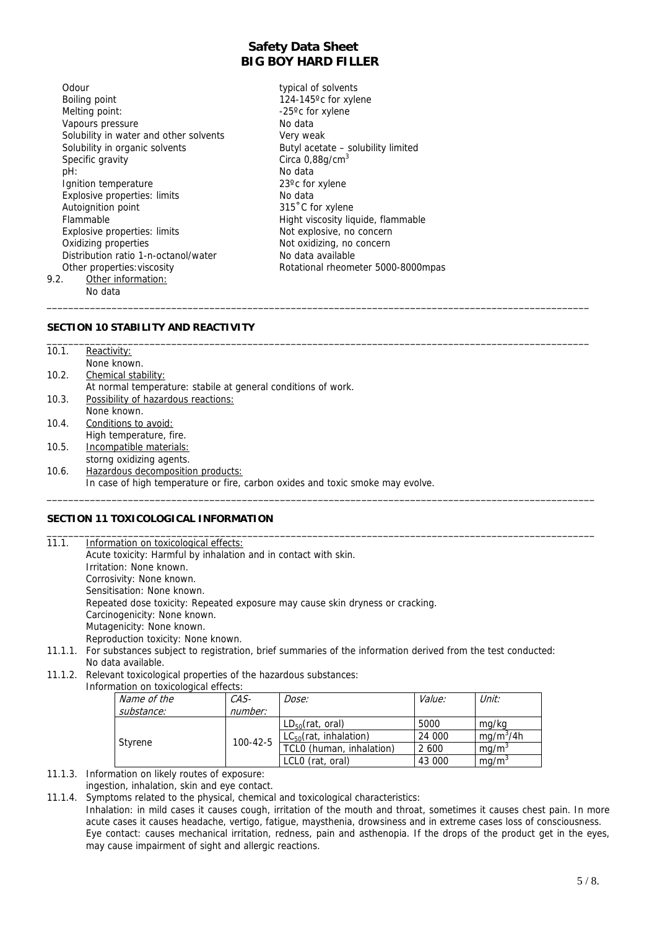\_\_\_\_\_\_\_\_\_\_\_\_\_\_\_\_\_\_\_\_\_\_\_\_\_\_\_\_\_\_\_\_\_\_\_\_\_\_\_\_\_\_\_\_\_\_\_\_\_\_\_\_\_\_\_\_\_\_\_\_\_\_\_\_\_\_\_\_\_\_\_\_\_\_\_\_\_\_\_\_\_\_\_\_\_\_\_\_\_\_\_\_\_\_\_\_\_\_\_\_

Odour typical of solvents Boiling point 124-145°c for xylene Melting point:  $-25^{\circ}$ c for xylene Vapours pressure No data Solubility in water and other solvents Very weak Solubility in organic solvents Butyl acetate – solubility limited Specific gravity Circa 0,88g/cm<sup>3</sup> pH: No data Ignition temperature 23<sup>o</sup>c for xylene Explosive properties: limits No data Autoignition point 315°C for xylene Flammable **Flammable Hight viscosity liquide, flammable** Explosive properties: limits Not explosive, no concern<br>
Oxidizing properties Not oxidizing, no concern Distribution ratio 1-n-octanol/water No data available 9.2. Other information: No data

Not oxidizing, no concern Other properties: viscosity **Rotational rheometer 5000-8000mpas** 

### **SECTION 10 STABILITY AND REACTIVITY**

| 10.1. | Reactivity:                                                                    |
|-------|--------------------------------------------------------------------------------|
|       | None known.                                                                    |
| 10.2. | Chemical stability:                                                            |
|       | At normal temperature: stabile at general conditions of work.                  |
| 10.3. | Possibility of hazardous reactions:                                            |
|       | None known.                                                                    |
| 10.4. | Conditions to avoid:                                                           |
|       | High temperature, fire.                                                        |
| 10.5. | Incompatible materials:                                                        |
|       | storng oxidizing agents.                                                       |
| 10.6. | Hazardous decomposition products:                                              |
|       | In case of high temperature or fire, carbon oxides and toxic smoke may evolve. |
|       |                                                                                |

### **SECTION 11 TOXICOLOGICAL INFORMATION**

| 11.1.  | Information on toxicological effects:                                                                       |
|--------|-------------------------------------------------------------------------------------------------------------|
|        | Acute toxicity: Harmful by inhalation and in contact with skin.                                             |
|        | Irritation: None known.                                                                                     |
|        | Corrosivity: None known.                                                                                    |
|        | Sensitisation: None known.                                                                                  |
|        | Repeated dose toxicity: Repeated exposure may cause skin dryness or cracking.                               |
|        | Carcinogenicity: None known.                                                                                |
|        | Mutagenicity: None known.                                                                                   |
|        | Reproduction toxicity: None known.                                                                          |
| 11 1 1 | For substances subject to registration, brief summaries of the information derived from the test conducted. |

- 11.1.1. For substances subject to registration, brief summaries of the information derived from the test conducted: No data available.
- 11.1.2. Relevant toxicological properties of the hazardous substances:

 Information on toxicological effects: Name of the substance: CASnumber: Dose: Value: Value: Unit: Styrene 100-42-5  $\begin{array}{|l|c|c|c|c|}\n\hline\nLD_{50}(rat, oral) & 5000 & mg/kg \\
\hline\nLC_{50}(rat,$ **inhalation** $24 000 mg/m<sup>3</sup>$  $LC_{50}$ (rat, inhalation)  $mg/m^3/4h$ TCL0 (human, inhalation)  $\sqrt{2600}$  mg/m<sup>3</sup> LCL0 (rat, oral)  $\vert$  43 000  $\vert$  mg/m<sup>3</sup>

- 11.1.3. Information on likely routes of exposure: ingestion, inhalation, skin and eye contact.
- 11.1.4. Symptoms related to the physical, chemical and toxicological characteristics:
	- Inhalation: in mild cases it causes cough, irritation of the mouth and throat, sometimes it causes chest pain. In more acute cases it causes headache, vertigo, fatigue, maysthenia, drowsiness and in extreme cases loss of consciousness. Eye contact: causes mechanical irritation, redness, pain and asthenopia. If the drops of the product get in the eyes, may cause impairment of sight and allergic reactions.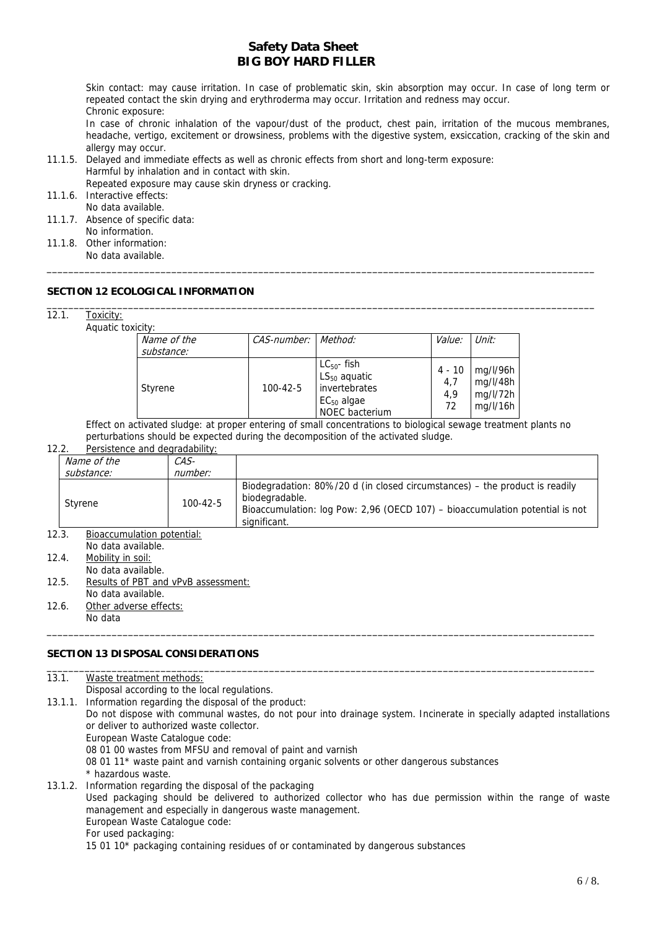Skin contact: may cause irritation. In case of problematic skin, skin absorption may occur. In case of long term or repeated contact the skin drying and erythroderma may occur. Irritation and redness may occur. Chronic exposure:

In case of chronic inhalation of the vapour/dust of the product, chest pain, irritation of the mucous membranes, headache, vertigo, excitement or drowsiness, problems with the digestive system, exsiccation, cracking of the skin and allergy may occur.

11.1.5. Delayed and immediate effects as well as chronic effects from short and long-term exposure: Harmful by inhalation and in contact with skin.

Repeated exposure may cause skin dryness or cracking. 11.1.6. Interactive effects:

- No data available.
- 11.1.7. Absence of specific data: No information.
- 11.1.8. Other information: No data available.

## **SECTION 12 ECOLOGICAL INFORMATION**

| 12.1. | Toxicity: |  |
|-------|-----------|--|
|       |           |  |

Aquatic toxicity:

| JAIULLV.                  |                     |                                                                                                    |                            |                                              |
|---------------------------|---------------------|----------------------------------------------------------------------------------------------------|----------------------------|----------------------------------------------|
| Name of the<br>substance: | CAS-number: Method: |                                                                                                    | <i>Value:</i>              | Unit:                                        |
| Styrene                   | $100 - 42 - 5$      | $LC_{50}$ - fish<br>$LS_{50}$ aquatic<br>invertebrates<br>$EC_{50}$ algae<br><b>NOEC</b> bacterium | 4 - 10<br>4.7<br>4.9<br>72 | mg/l/96h<br>mg/l/48h<br>mg/l/72h<br>mg/l/16h |

\_\_\_\_\_\_\_\_\_\_\_\_\_\_\_\_\_\_\_\_\_\_\_\_\_\_\_\_\_\_\_\_\_\_\_\_\_\_\_\_\_\_\_\_\_\_\_\_\_\_\_\_\_\_\_\_\_\_\_\_\_\_\_\_\_\_\_\_\_\_\_\_\_\_\_\_\_\_\_\_\_\_\_\_\_\_\_\_\_\_\_\_\_\_\_\_\_\_\_\_\_

\_\_\_\_\_\_\_\_\_\_\_\_\_\_\_\_\_\_\_\_\_\_\_\_\_\_\_\_\_\_\_\_\_\_\_\_\_\_\_\_\_\_\_\_\_\_\_\_\_\_\_\_\_\_\_\_\_\_\_\_\_\_\_\_\_\_\_\_\_\_\_\_\_\_\_\_\_\_\_\_\_\_\_\_\_\_\_\_\_\_\_\_\_\_\_\_\_\_\_\_\_

Effect on activated sludge: at proper entering of small concentrations to biological sewage treatment plants no perturbations should be expected during the decomposition of the activated sludge.

| Persistence and degradability:<br>12.2. |
|-----------------------------------------|
|-----------------------------------------|

|       | $1 \mathcal{L} \cdot \mathcal{L}$<br><b>I</b> crossicrice and acquadatinty. |                |                                                                                                                                                                                               |
|-------|-----------------------------------------------------------------------------|----------------|-----------------------------------------------------------------------------------------------------------------------------------------------------------------------------------------------|
|       | Name of the                                                                 | CAS-           |                                                                                                                                                                                               |
|       | substance:                                                                  | number:        |                                                                                                                                                                                               |
|       | Styrene                                                                     | $100 - 42 - 5$ | Biodegradation: 80%/20 d (in closed circumstances) – the product is readily<br>biodegradable.<br>Bioaccumulation: log Pow: 2,96 (OECD 107) - bioaccumulation potential is not<br>significant. |
| 12.3. | <b>Bioaccumulation potential:</b><br>No data available.                     |                |                                                                                                                                                                                               |

\_\_\_\_\_\_\_\_\_\_\_\_\_\_\_\_\_\_\_\_\_\_\_\_\_\_\_\_\_\_\_\_\_\_\_\_\_\_\_\_\_\_\_\_\_\_\_\_\_\_\_\_\_\_\_\_\_\_\_\_\_\_\_\_\_\_\_\_\_\_\_\_\_\_\_\_\_\_\_\_\_\_\_\_\_\_\_\_\_\_\_\_\_\_\_\_\_\_\_\_\_

- 12.4. Mobility in soil: No data available.
- 12.5. Results of PBT and vPvB assessment: No data available.
- 12.6. Other adverse effects: No data

## **SECTION 13 DISPOSAL CONSIDERATIONS**

| 13.1.   | Waste treatment methods:                                                                                                                                                |
|---------|-------------------------------------------------------------------------------------------------------------------------------------------------------------------------|
|         | Disposal according to the local regulations.                                                                                                                            |
| 13.1.1. | Information regarding the disposal of the product:                                                                                                                      |
|         | Do not dispose with communal wastes, do not pour into drainage system. Incinerate in specially adapted installations<br>or deliver to authorized waste collector.       |
|         | European Waste Catalogue code:                                                                                                                                          |
|         | 08 01 00 wastes from MFSU and removal of paint and varnish                                                                                                              |
|         | 08 01 11* waste paint and varnish containing organic solvents or other dangerous substances                                                                             |
|         | * hazardous waste.                                                                                                                                                      |
|         | 13.1.2. Information regarding the disposal of the packaging                                                                                                             |
|         | Used packaging should be delivered to authorized collector who has due permission within the range of waste<br>management and especially in dangerous waste management. |
|         | European Waste Catalogue code:                                                                                                                                          |
|         | For used packaging:                                                                                                                                                     |
|         | 15.01.10* packaging containing residues of or contaminated by dangerous substances                                                                                      |

15 01 10\* packaging containing residues of or contaminated by dangerous substances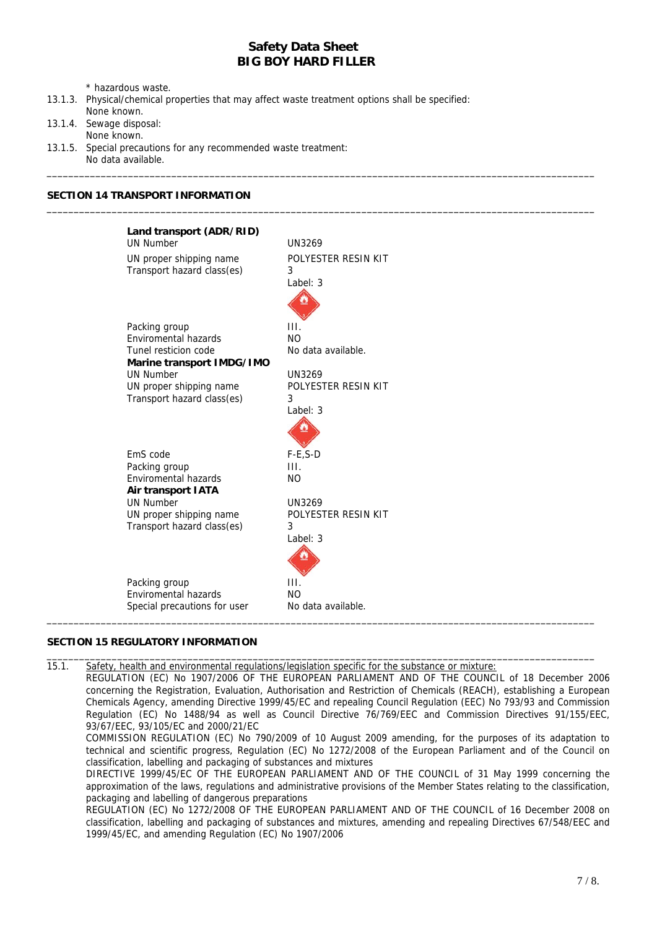\_\_\_\_\_\_\_\_\_\_\_\_\_\_\_\_\_\_\_\_\_\_\_\_\_\_\_\_\_\_\_\_\_\_\_\_\_\_\_\_\_\_\_\_\_\_\_\_\_\_\_\_\_\_\_\_\_\_\_\_\_\_\_\_\_\_\_\_\_\_\_\_\_\_\_\_\_\_\_\_\_\_\_\_\_\_\_\_\_\_\_\_\_\_\_\_\_\_\_\_\_

\_\_\_\_\_\_\_\_\_\_\_\_\_\_\_\_\_\_\_\_\_\_\_\_\_\_\_\_\_\_\_\_\_\_\_\_\_\_\_\_\_\_\_\_\_\_\_\_\_\_\_\_\_\_\_\_\_\_\_\_\_\_\_\_\_\_\_\_\_\_\_\_\_\_\_\_\_\_\_\_\_\_\_\_\_\_\_\_\_\_\_\_\_\_\_\_\_\_\_\_\_

\* hazardous waste.

- 13.1.3. Physical/chemical properties that may affect waste treatment options shall be specified: None known.
- 13.1.4. Sewage disposal:
- None known.
- 13.1.5. Special precautions for any recommended waste treatment: No data available.

### **SECTION 14 TRANSPORT INFORMATION**

| Land transport (ADR/RID)<br><b>UN Number</b>          | <b>UN3269</b>                        |
|-------------------------------------------------------|--------------------------------------|
| UN proper shipping name<br>Transport hazard class(es) | POLYESTER RESIN KIT<br>3<br>Label: 3 |
|                                                       |                                      |
| Packing group                                         | III.                                 |
| <b>Enviromental hazards</b>                           | <b>NO</b>                            |
| Tunel resticion code                                  | No data available.                   |
| Marine transport IMDG/IMO                             |                                      |
| <b>UN Number</b>                                      | <b>UN3269</b>                        |
| UN proper shipping name                               | POLYESTER RESIN KIT                  |
| Transport hazard class(es)                            | 3                                    |
|                                                       | Label: 3                             |
| EmS code                                              | $F-E, S-D$                           |
| Packing group                                         | III.                                 |
| <b>Enviromental hazards</b><br>Air transport IATA     | <b>NO</b>                            |
| <b>UN Number</b>                                      | <b>UN3269</b>                        |
| UN proper shipping name                               | POLYESTER RESIN KIT                  |
| Transport hazard class(es)                            | 3                                    |
|                                                       | Label: 3                             |
|                                                       |                                      |
| Packing group                                         | III.                                 |
| Enviromental hazards                                  | <b>NO</b>                            |
| Special precautions for user                          | No data available.                   |

### **SECTION 15 REGULATORY INFORMATION**

15.1. Safety, health and environmental regulations/legislation specific for the substance or mixture:

REGULATION (EC) No 1907/2006 OF THE EUROPEAN PARLIAMENT AND OF THE COUNCIL of 18 December 2006 concerning the Registration, Evaluation, Authorisation and Restriction of Chemicals (REACH), establishing a European Chemicals Agency, amending Directive 1999/45/EC and repealing Council Regulation (EEC) No 793/93 and Commission Regulation (EC) No 1488/94 as well as Council Directive 76/769/EEC and Commission Directives 91/155/EEC, 93/67/EEC, 93/105/EC and 2000/21/EC

\_\_\_\_\_\_\_\_\_\_\_\_\_\_\_\_\_\_\_\_\_\_\_\_\_\_\_\_\_\_\_\_\_\_\_\_\_\_\_\_\_\_\_\_\_\_\_\_\_\_\_\_\_\_\_\_\_\_\_\_\_\_\_\_\_\_\_\_\_\_\_\_\_\_\_\_\_\_\_\_\_\_\_\_\_\_\_\_\_\_\_\_\_\_\_\_\_\_\_\_\_

COMMISSION REGULATION (EC) No 790/2009 of 10 August 2009 amending, for the purposes of its adaptation to technical and scientific progress, Regulation (EC) No 1272/2008 of the European Parliament and of the Council on classification, labelling and packaging of substances and mixtures

DIRECTIVE 1999/45/EC OF THE EUROPEAN PARLIAMENT AND OF THE COUNCIL of 31 May 1999 concerning the approximation of the laws, regulations and administrative provisions of the Member States relating to the classification, packaging and labelling of dangerous preparations

REGULATION (EC) No 1272/2008 OF THE EUROPEAN PARLIAMENT AND OF THE COUNCIL of 16 December 2008 on classification, labelling and packaging of substances and mixtures, amending and repealing Directives 67/548/EEC and 1999/45/EC, and amending Regulation (EC) No 1907/2006